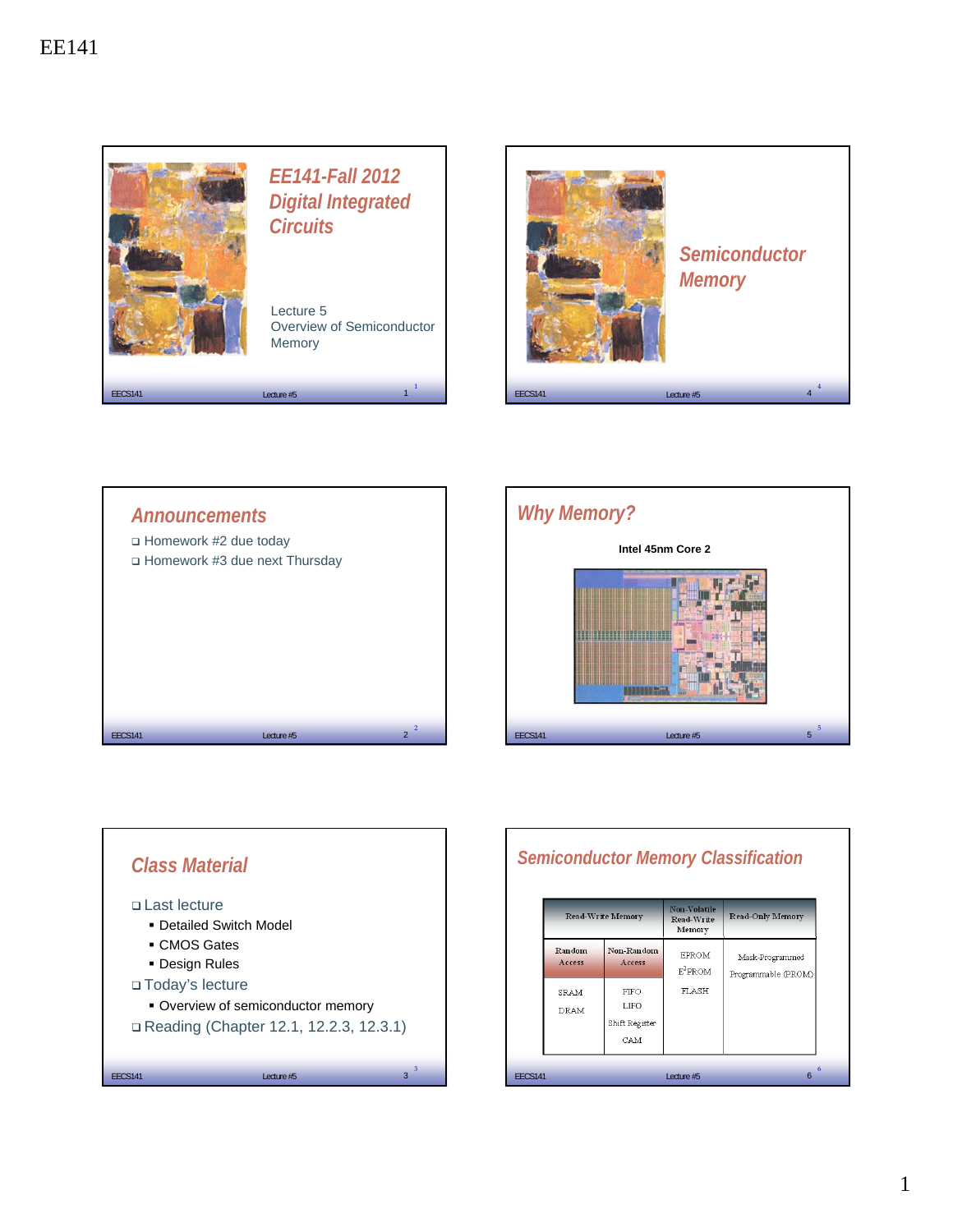









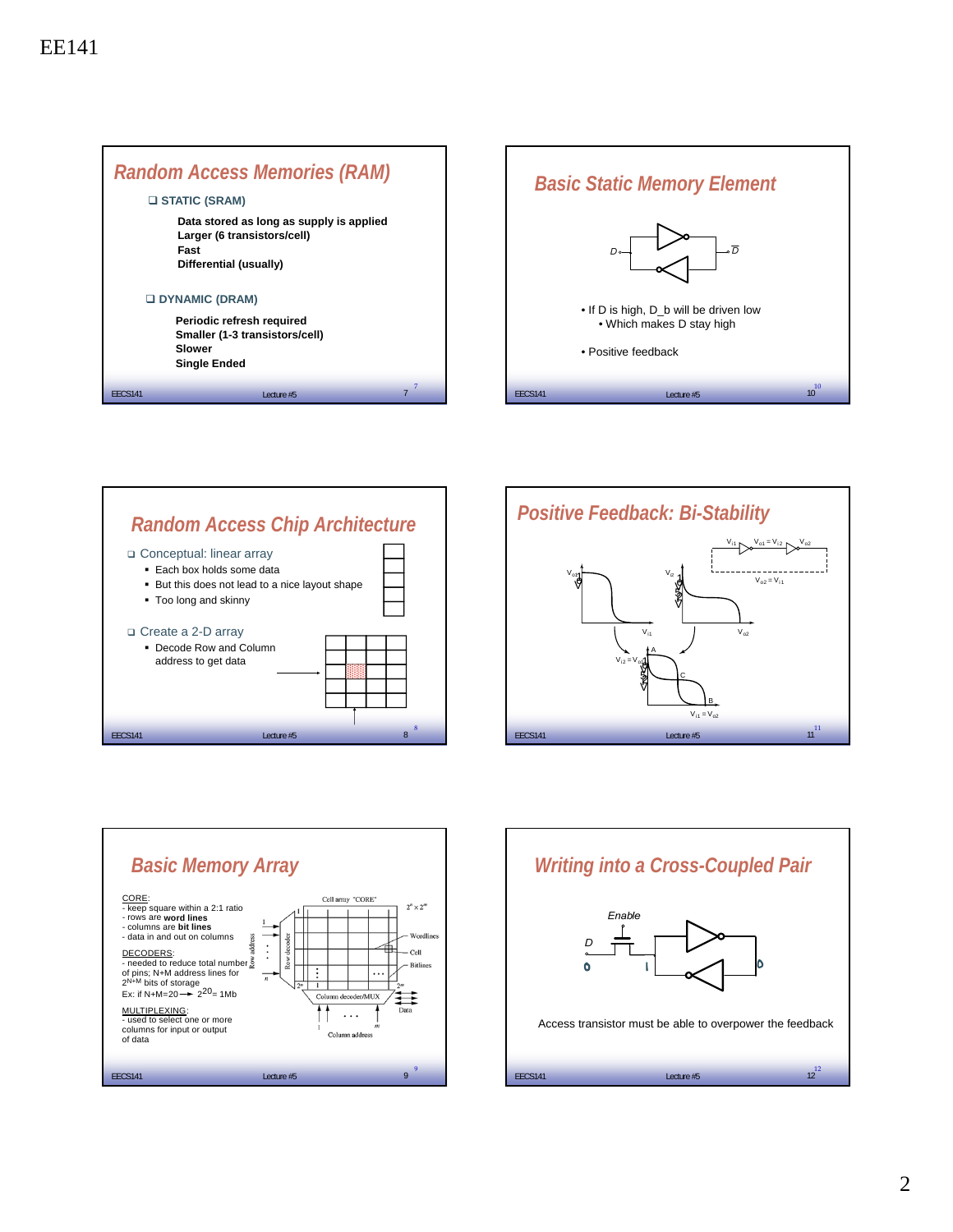









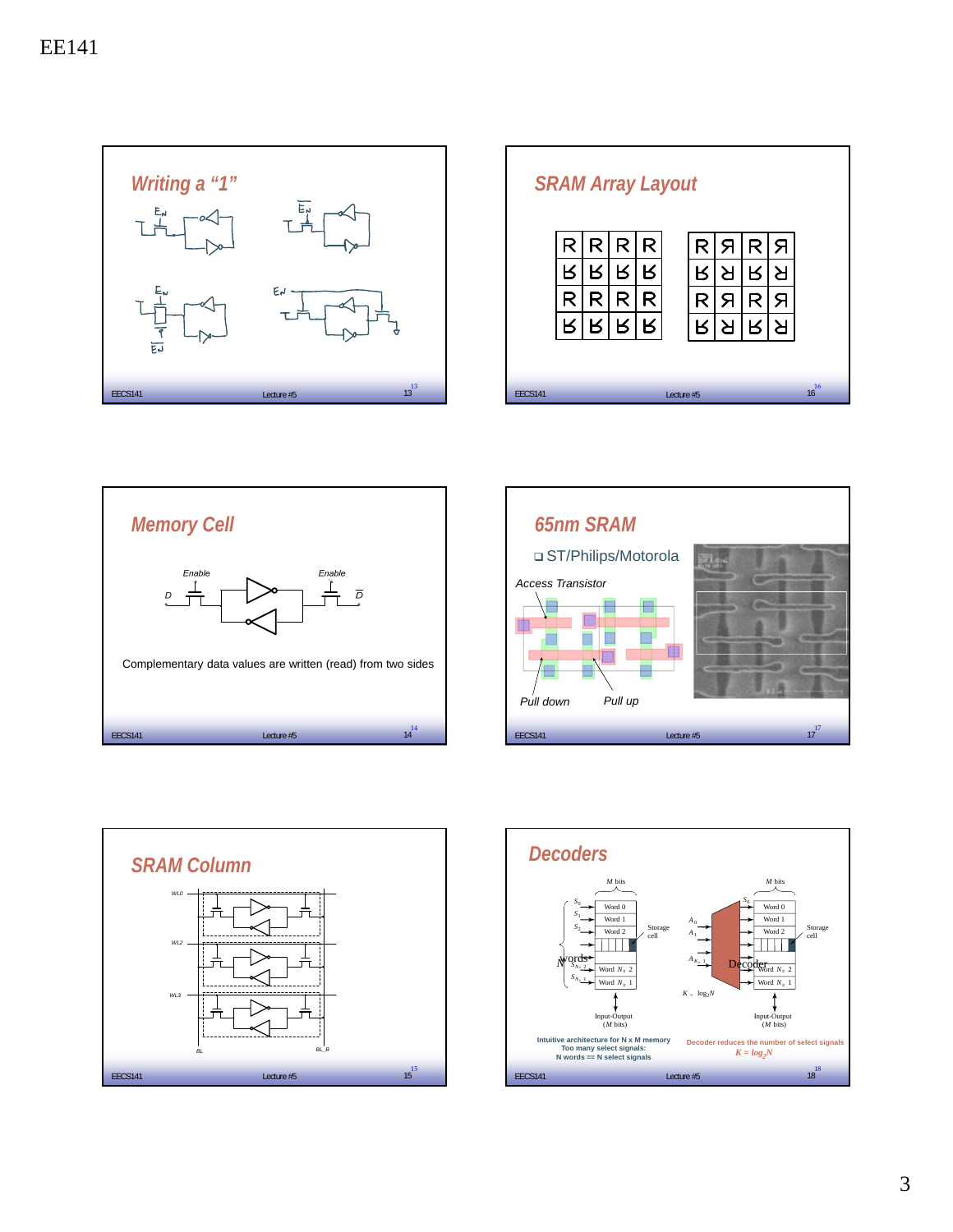

|                | <b>SRAM Array Layout</b> |   |   |   |  |   |   |   |   |          |
|----------------|--------------------------|---|---|---|--|---|---|---|---|----------|
|                | R                        | R | R | R |  | R | Я | R | Я |          |
|                |                          |   |   | ĸ |  |   |   | ĸ | R |          |
|                |                          |   | R | R |  | R | Я | R | Я |          |
|                |                          |   | В | В |  |   |   | K | ≻ |          |
|                |                          |   |   |   |  |   |   |   |   |          |
| <b>EECS141</b> | Lecture #5               |   |   |   |  |   |   |   |   | 16<br>16 |